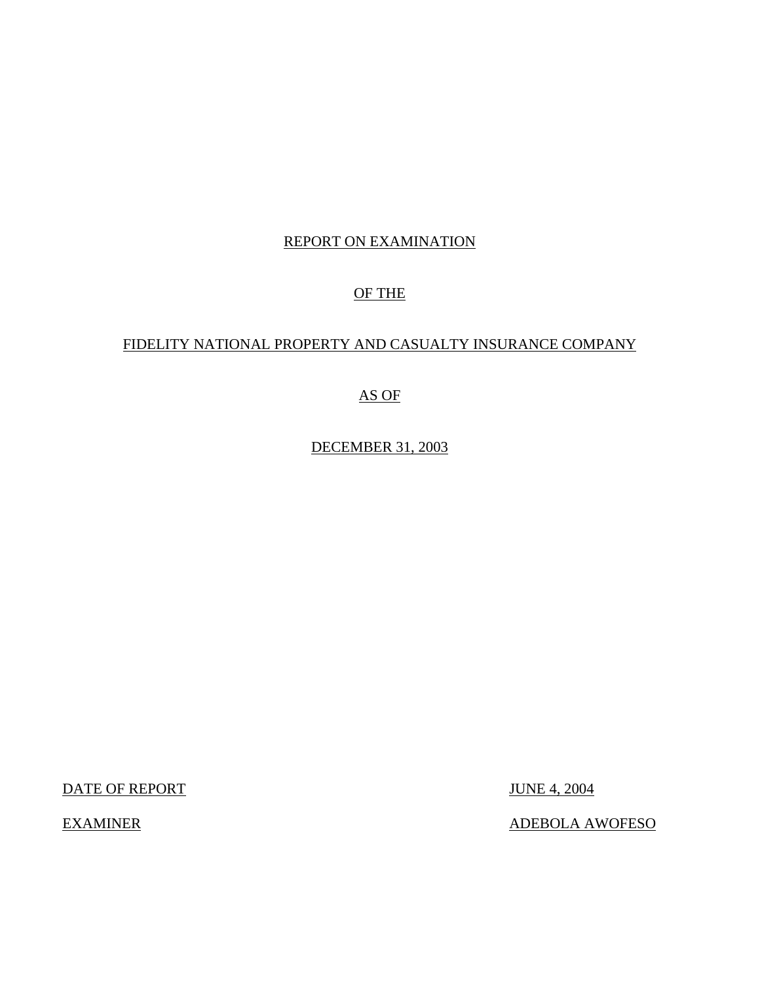# REPORT ON EXAMINATION

# OF THE

# FIDELITY NATIONAL PROPERTY AND CASUALTY INSURANCE COMPANY

# AS OF

DECEMBER 31, 2003

DATE OF REPORT JUNE 4, 2004

EXAMINER ADEBOLA AWOFESO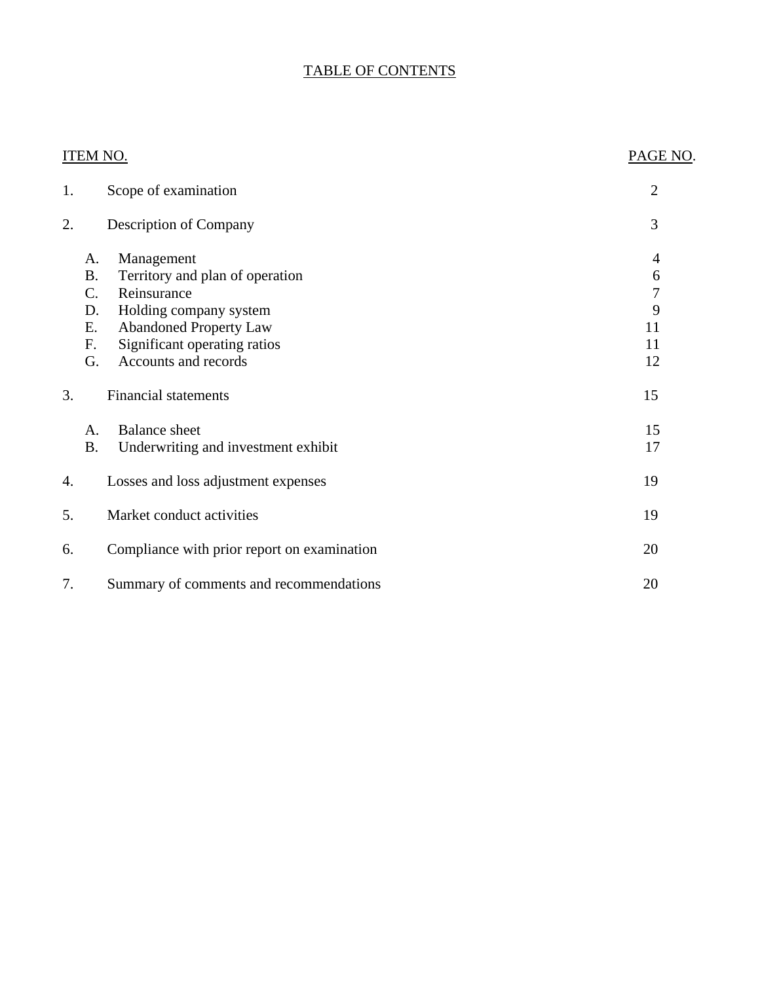# TABLE OF CONTENTS

|    | <b>ITEM NO.</b>                                                                                                                                                                                                                           | PAGE NO.                                        |
|----|-------------------------------------------------------------------------------------------------------------------------------------------------------------------------------------------------------------------------------------------|-------------------------------------------------|
| 1. | Scope of examination                                                                                                                                                                                                                      | $\overline{2}$                                  |
| 2. | Description of Company                                                                                                                                                                                                                    | 3                                               |
|    | Management<br>A.<br>Territory and plan of operation<br><b>B.</b><br>$C_{\cdot}$<br>Reinsurance<br>Holding company system<br>D.<br><b>Abandoned Property Law</b><br>Е.<br>F.<br>Significant operating ratios<br>Accounts and records<br>G. | 4<br>6<br>$\overline{7}$<br>9<br>11<br>11<br>12 |
| 3. | <b>Financial statements</b>                                                                                                                                                                                                               | 15                                              |
|    | <b>Balance</b> sheet<br>A.<br><b>B.</b><br>Underwriting and investment exhibit                                                                                                                                                            | 15<br>17                                        |
| 4. | Losses and loss adjustment expenses                                                                                                                                                                                                       | 19                                              |
| 5. | Market conduct activities                                                                                                                                                                                                                 | 19                                              |
| 6. | Compliance with prior report on examination                                                                                                                                                                                               | 20                                              |
| 7. | Summary of comments and recommendations                                                                                                                                                                                                   | 20                                              |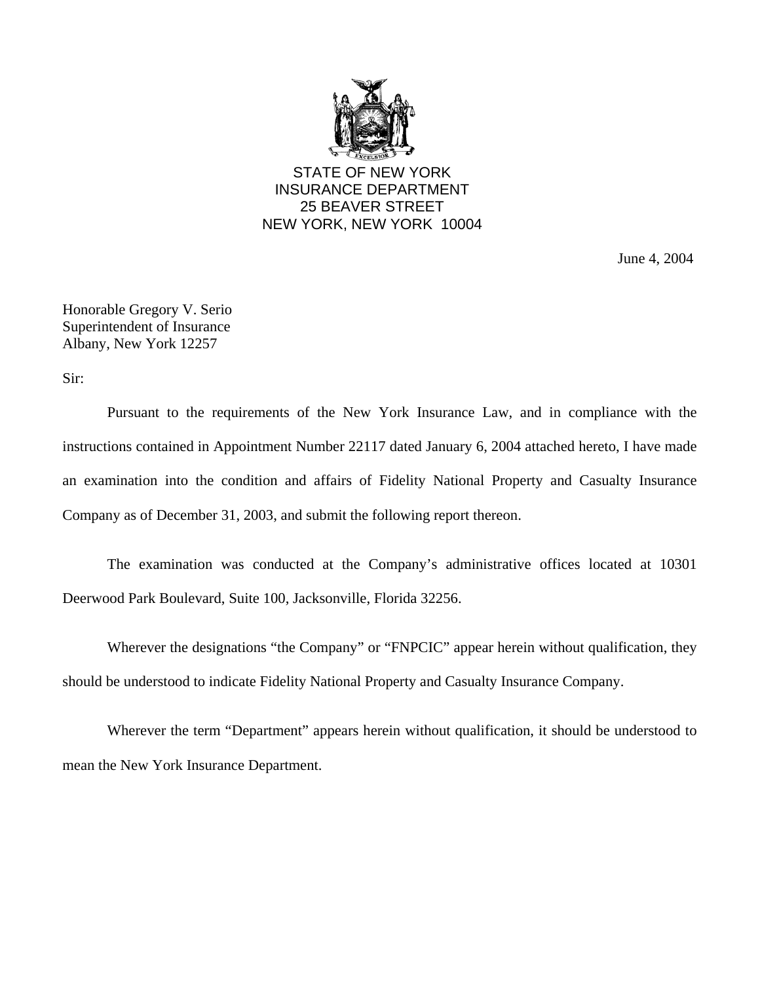

STATE OF NEW YORK INSURANCE DEPARTMENT 25 BEAVER STREET NEW YORK, NEW YORK 10004

June 4, 2004

Honorable Gregory V. Serio Superintendent of Insurance Albany, New York 12257

Sir:

Pursuant to the requirements of the New York Insurance Law, and in compliance with the instructions contained in Appointment Number 22117 dated January 6, 2004 attached hereto, I have made an examination into the condition and affairs of Fidelity National Property and Casualty Insurance Company as of December 31, 2003, and submit the following report thereon.

The examination was conducted at the Company's administrative offices located at 10301 Deerwood Park Boulevard, Suite 100, Jacksonville, Florida 32256.

Wherever the designations "the Company" or "FNPCIC" appear herein without qualification, they should be understood to indicate Fidelity National Property and Casualty Insurance Company.

Wherever the term "Department" appears herein without qualification, it should be understood to mean the New York Insurance Department.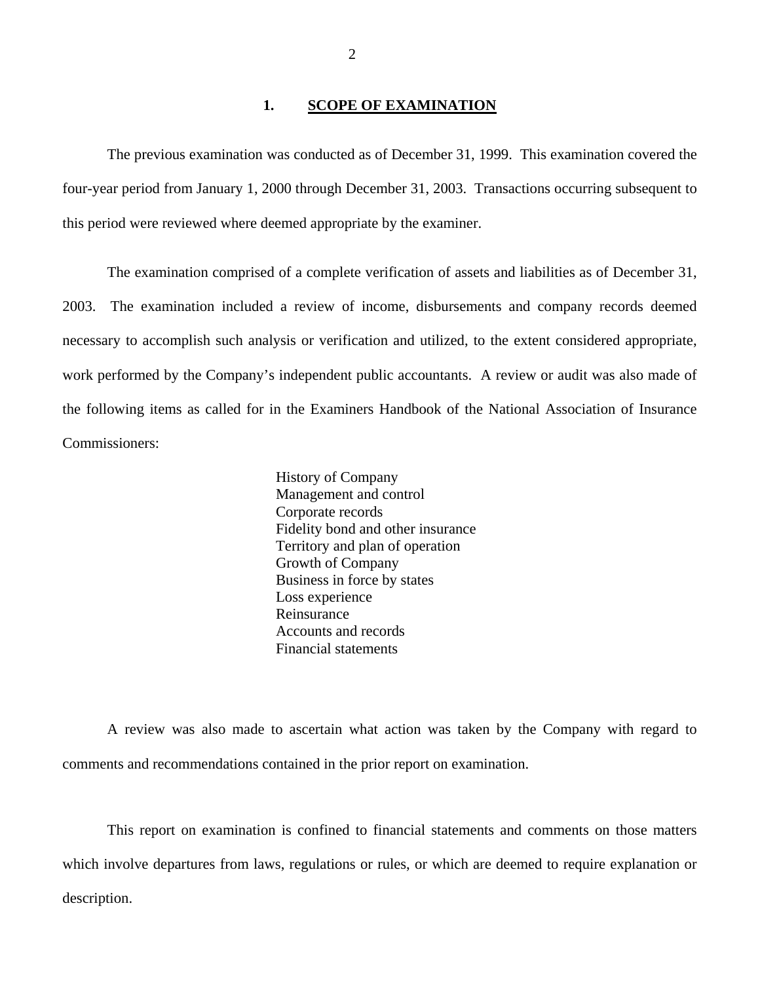#### 1. **SCOPE OF EXAMINATION**

The previous examination was conducted as of December 31, 1999. This examination covered the four-year period from January 1, 2000 through December 31, 2003. Transactions occurring subsequent to this period were reviewed where deemed appropriate by the examiner.

The examination comprised of a complete verification of assets and liabilities as of December 31, 2003. The examination included a review of income, disbursements and company records deemed necessary to accomplish such analysis or verification and utilized, to the extent considered appropriate, work performed by the Company's independent public accountants. A review or audit was also made of the following items as called for in the Examiners Handbook of the National Association of Insurance Commissioners:

> History of Company Management and control Corporate records Fidelity bond and other insurance Territory and plan of operation Growth of Company Business in force by states Loss experience Reinsurance Accounts and records Financial statements

A review was also made to ascertain what action was taken by the Company with regard to comments and recommendations contained in the prior report on examination.

This report on examination is confined to financial statements and comments on those matters which involve departures from laws, regulations or rules, or which are deemed to require explanation or description.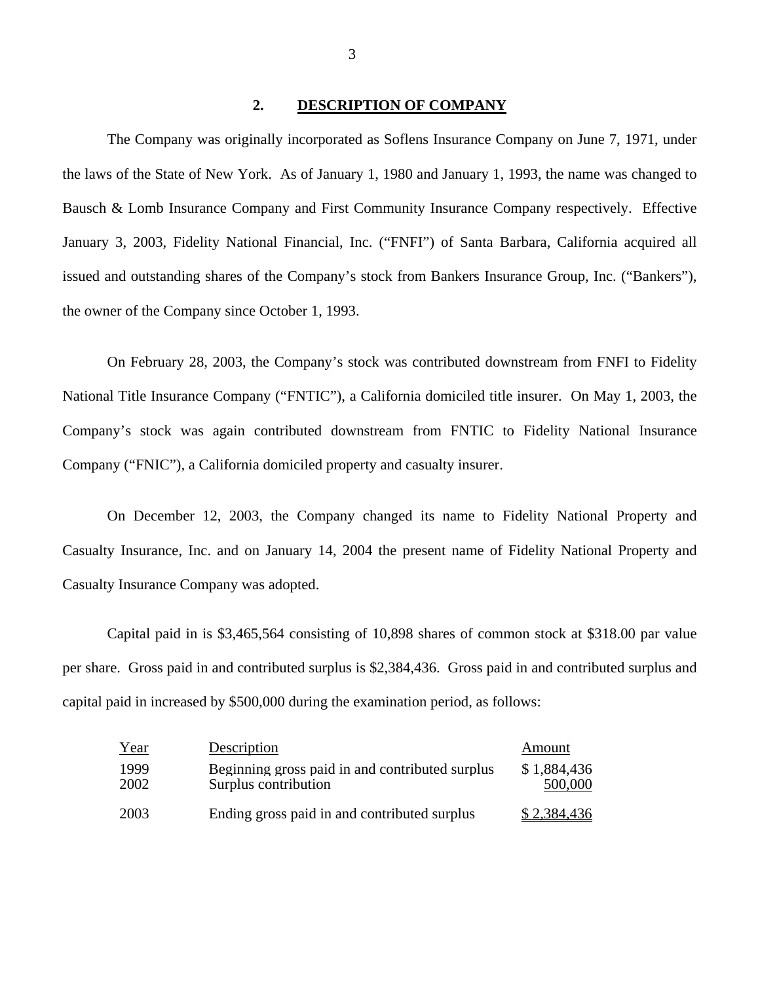#### **2. DESCRIPTION OF COMPANY**

The Company was originally incorporated as Soflens Insurance Company on June 7, 1971, under the laws of the State of New York. As of January 1, 1980 and January 1, 1993, the name was changed to Bausch & Lomb Insurance Company and First Community Insurance Company respectively. Effective January 3, 2003, Fidelity National Financial, Inc. ("FNFI") of Santa Barbara, California acquired all issued and outstanding shares of the Company's stock from Bankers Insurance Group, Inc. ("Bankers"), the owner of the Company since October 1, 1993.

On February 28, 2003, the Company's stock was contributed downstream from FNFI to Fidelity National Title Insurance Company ("FNTIC"), a California domiciled title insurer. On May 1, 2003, the Company's stock was again contributed downstream from FNTIC to Fidelity National Insurance Company ("FNIC"), a California domiciled property and casualty insurer.

On December 12, 2003, the Company changed its name to Fidelity National Property and Casualty Insurance, Inc. and on January 14, 2004 the present name of Fidelity National Property and Casualty Insurance Company was adopted.

Capital paid in is \$3,465,564 consisting of 10,898 shares of common stock at \$318.00 par value per share. Gross paid in and contributed surplus is \$2,384,436. Gross paid in and contributed surplus and capital paid in increased by \$500,000 during the examination period, as follows:

| Year         | Description                                                             | Amount                 |
|--------------|-------------------------------------------------------------------------|------------------------|
| 1999<br>2002 | Beginning gross paid in and contributed surplus<br>Surplus contribution | \$1,884,436<br>500,000 |
| 2003         | Ending gross paid in and contributed surplus                            | \$2,384,436            |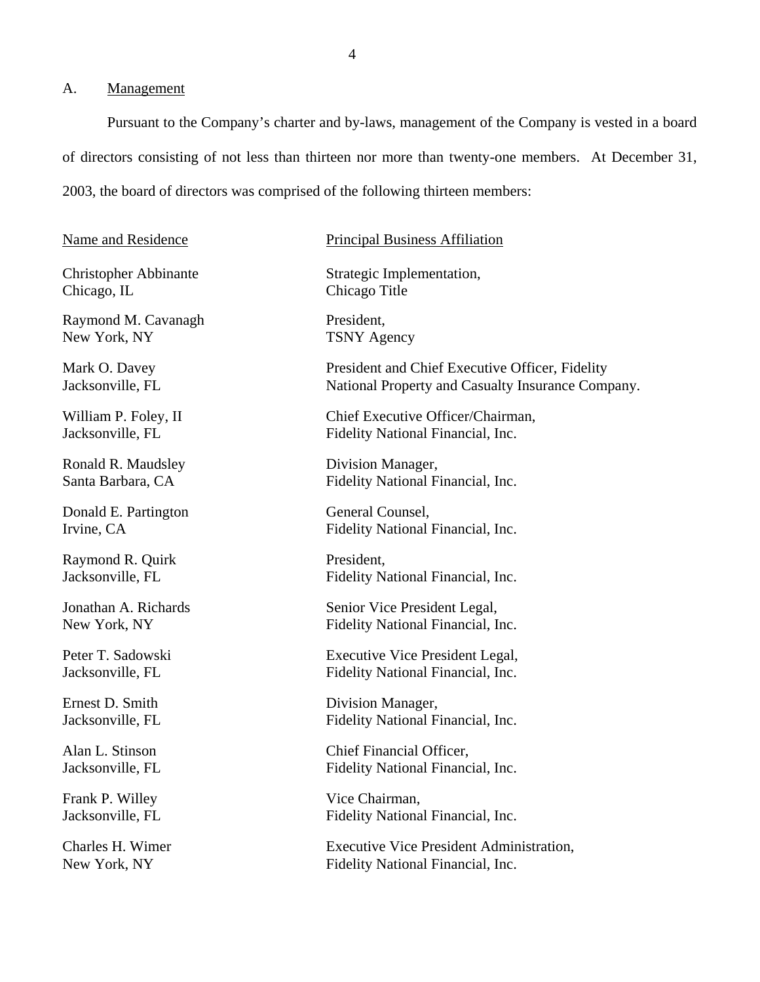#### A. Management

Pursuant to the Company's charter and by-laws, management of the Company is vested in a board of directors consisting of not less than thirteen nor more than twenty-one members. At December 31, 2003, the board of directors was comprised of the following thirteen members:

Chicago, IL Chicago Title

Raymond M. Cavanagh President, New York, NY TSNY Agency

Ronald R. Maudsley Division Manager,

Donald E. Partington General Counsel,

Raymond R. Quirk President,

Frank P. Willey Vice Chairman,

#### Name and Residence Principal Business Affiliation

Christopher Abbinante Strategic Implementation,

Mark O. Davey President and Chief Executive Officer, Fidelity Jacksonville, FL National Property and Casualty Insurance Company.

William P. Foley, II Chief Executive Officer/Chairman, Jacksonville, FL Fidelity National Financial, Inc.

Santa Barbara, CA Fidelity National Financial, Inc.

Irvine, CA Fidelity National Financial, Inc.

Jacksonville, FL Fidelity National Financial, Inc.

Jonathan A. Richards Senior Vice President Legal, New York, NY Fidelity National Financial, Inc.

Peter T. Sadowski Executive Vice President Legal, Jacksonville, FL Fidelity National Financial, Inc.

Ernest D. Smith Division Manager, Jacksonville, FL Fidelity National Financial, Inc.

Alan L. Stinson Chief Financial Officer, Jacksonville, FL Fidelity National Financial, Inc.

Jacksonville, FL Fidelity National Financial, Inc.

Charles H. Wimer Executive Vice President Administration, New York, NY Fidelity National Financial, Inc.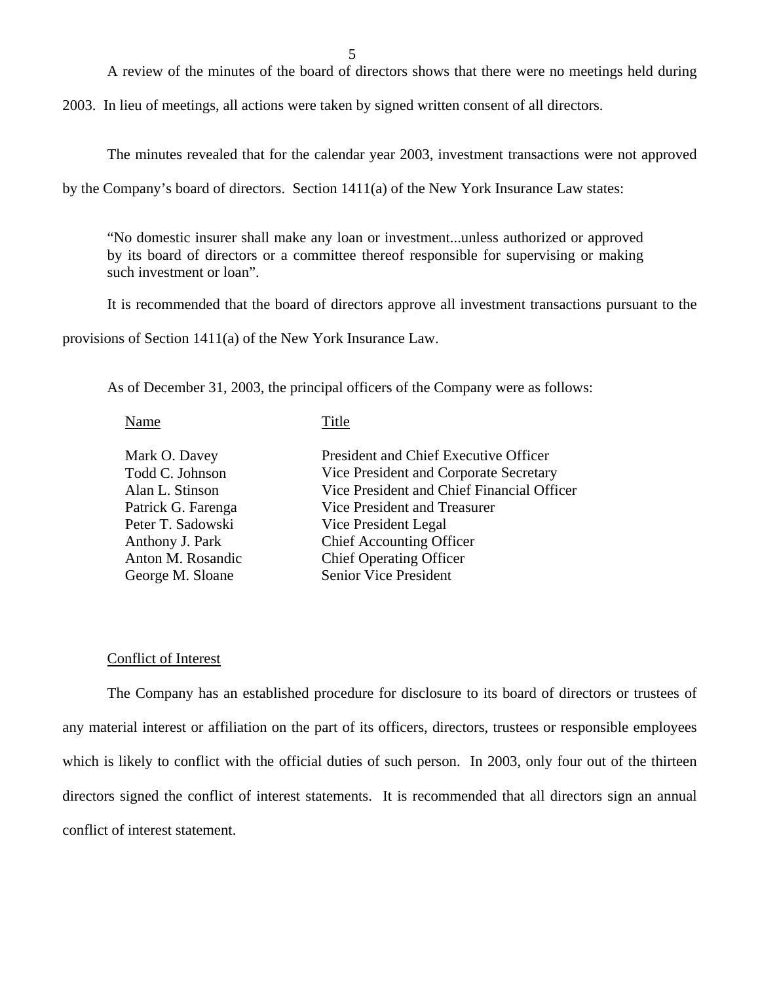A review of the minutes of the board of directors shows that there were no meetings held during

2003. In lieu of meetings, all actions were taken by signed written consent of all directors.

The minutes revealed that for the calendar year 2003, investment transactions were not approved

by the Company's board of directors. Section 1411(a) of the New York Insurance Law states:

"No domestic insurer shall make any loan or investment...unless authorized or approved by its board of directors or a committee thereof responsible for supervising or making such investment or loan".

It is recommended that the board of directors approve all investment transactions pursuant to the

provisions of Section 1411(a) of the New York Insurance Law.

As of December 31, 2003, the principal officers of the Company were as follows:

Name Title

| Mark O. Davey<br>Todd C. Johnson<br>Alan L. Stinson<br>Patrick G. Farenga<br>Peter T. Sadowski<br>Anthony J. Park<br>Anton M. Rosandic | President and Chief Executive Officer<br>Vice President and Corporate Secretary<br>Vice President and Chief Financial Officer<br>Vice President and Treasurer<br>Vice President Legal<br><b>Chief Accounting Officer</b><br><b>Chief Operating Officer</b> |
|----------------------------------------------------------------------------------------------------------------------------------------|------------------------------------------------------------------------------------------------------------------------------------------------------------------------------------------------------------------------------------------------------------|
| George M. Sloane                                                                                                                       | Senior Vice President                                                                                                                                                                                                                                      |
|                                                                                                                                        |                                                                                                                                                                                                                                                            |

#### Conflict of Interest

The Company has an established procedure for disclosure to its board of directors or trustees of any material interest or affiliation on the part of its officers, directors, trustees or responsible employees which is likely to conflict with the official duties of such person. In 2003, only four out of the thirteen directors signed the conflict of interest statements. It is recommended that all directors sign an annual conflict of interest statement.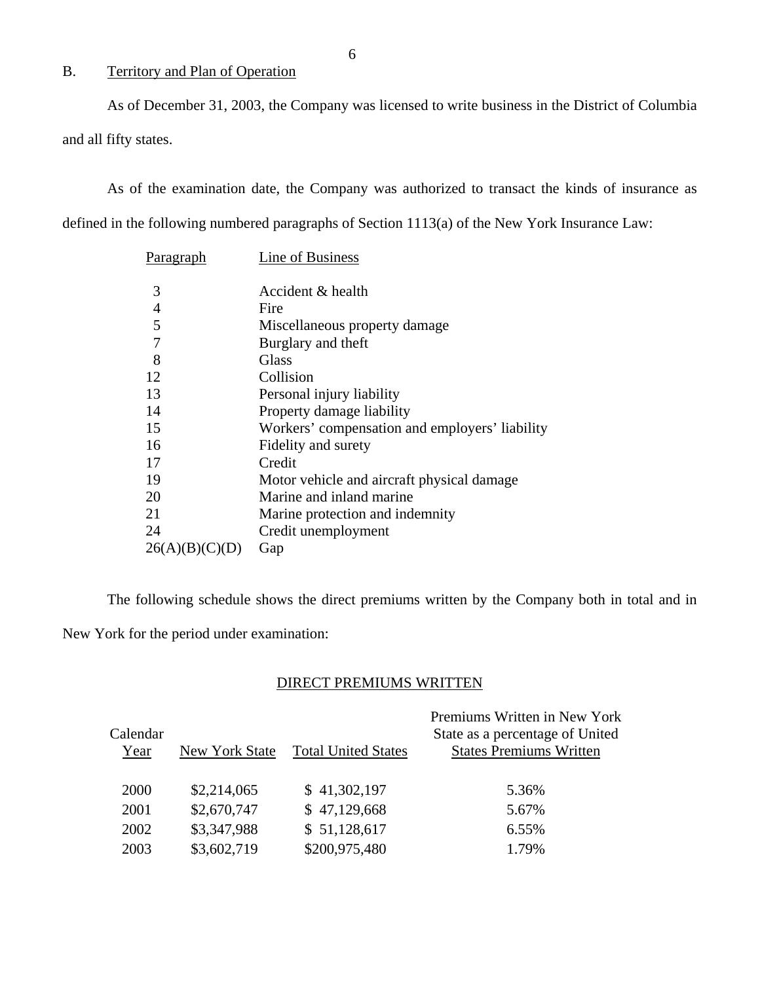# B. Territory and Plan of Operation

As of December 31, 2003, the Company was licensed to write business in the District of Columbia and all fifty states.

As of the examination date, the Company was authorized to transact the kinds of insurance as defined in the following numbered paragraphs of Section 1113(a) of the New York Insurance Law:

| <b>Paragraph</b> | Line of Business                               |
|------------------|------------------------------------------------|
| 3                | Accident & health                              |
| $\overline{4}$   | Fire                                           |
| 5                | Miscellaneous property damage                  |
| 7                | Burglary and theft                             |
| 8                | <b>Glass</b>                                   |
| 12               | Collision                                      |
| 13               | Personal injury liability                      |
| 14               | Property damage liability                      |
| 15               | Workers' compensation and employers' liability |
| 16               | Fidelity and surety                            |
| 17               | Credit                                         |
| 19               | Motor vehicle and aircraft physical damage.    |
| 20               | Marine and inland marine                       |
| 21               | Marine protection and indemnity                |
| 24               | Credit unemployment                            |
| 26(A)(B)(C)      | Gap                                            |

The following schedule shows the direct premiums written by the Company both in total and in New York for the period under examination:

#### DIRECT PREMIUMS WRITTEN

|          |                |                            | Premiums Written in New York    |
|----------|----------------|----------------------------|---------------------------------|
| Calendar |                |                            | State as a percentage of United |
| Year     | New York State | <b>Total United States</b> | <b>States Premiums Written</b>  |
|          |                |                            |                                 |
| 2000     | \$2,214,065    | \$41,302,197               | 5.36%                           |
| 2001     | \$2,670,747    | \$47,129,668               | 5.67%                           |
| 2002     | \$3,347,988    | \$51,128,617               | 6.55%                           |
| 2003     | \$3,602,719    | \$200,975,480              | 1.79%                           |

6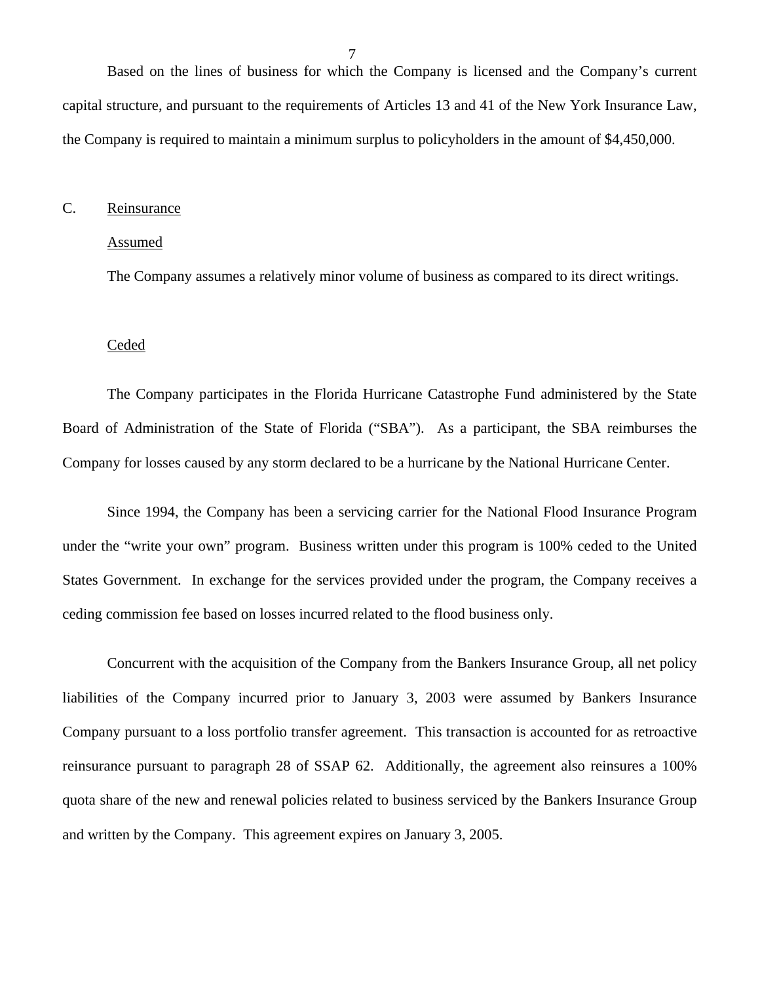<span id="page-8-0"></span>Based on the lines of business for which the Company is licensed and the Company's current capital structure, and pursuant to the requirements of Articles 13 and 41 of the New York Insurance Law, the Company is required to maintain a minimum surplus to policyholders in the amount of \$4,450,000.

#### C. Reinsurance

#### Assumed

The Company assumes a relatively minor volume of business as compared to its direct writings.

#### Ceded

The Company participates in the Florida Hurricane Catastrophe Fund administered by the State Board of Administration of the State of Florida ("SBA"). As a participant, the SBA reimburses the Company for losses caused by any storm declared to be a hurricane by the National Hurricane Center.

Since 1994, the Company has been a servicing carrier for the National Flood Insurance Program under the "write your own" program. Business written under this program is 100% ceded to the United States Government. In exchange for the services provided under the program, the Company receives a ceding commission fee based on losses incurred related to the flood business only.

Concurrent with the acquisition of the Company from the Bankers Insurance Group, all net policy liabilities of the Company incurred prior to January 3, 2003 were assumed by Bankers Insurance Company pursuant to a loss portfolio transfer agreement. This transaction is accounted for as retroactive reinsurance pursuant to paragraph 28 of SSAP 62. Additionally, the agreement also reinsures a 100% quota share of the new and renewal policies related to business serviced by the Bankers Insurance Group and written by the Company. This agreement expires on January 3, 2005.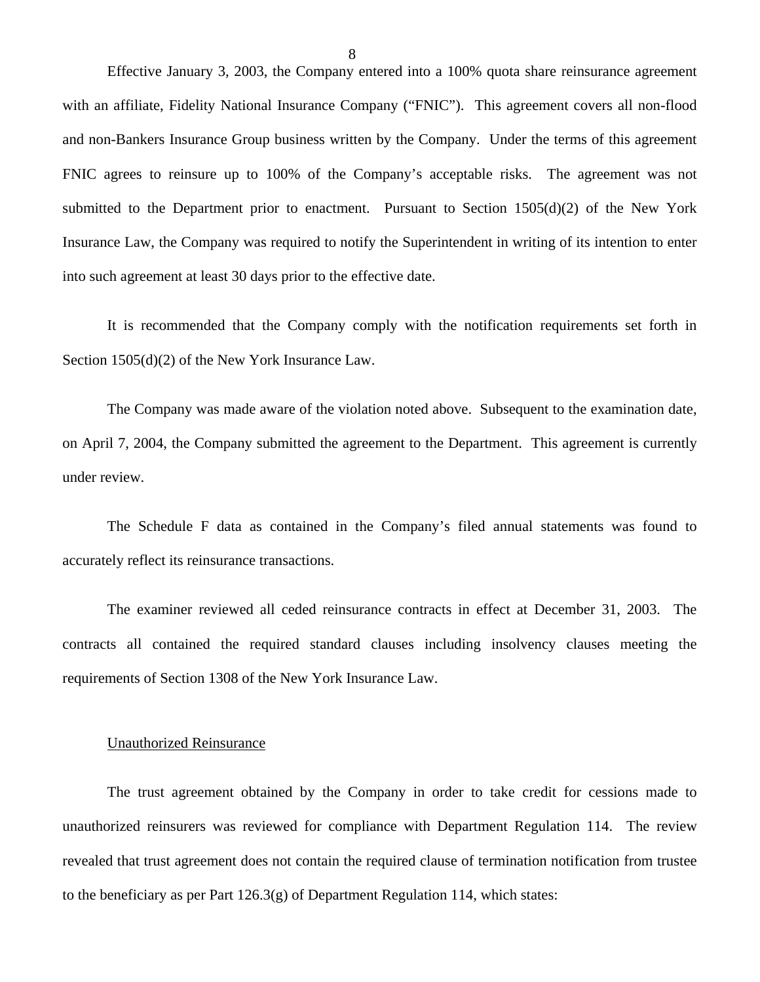Effective January 3, 2003, the Company entered into a 100% quota share reinsurance agreement with an affiliate, Fidelity National Insurance Company ("FNIC"). This agreement covers all non-flood and non-Bankers Insurance Group business written by the Company. Under the terms of this agreement FNIC agrees to reinsure up to 100% of the Company's acceptable risks. The agreement was not submitted to the Department prior to enactment. Pursuant to Section 1505(d)(2) of the New York Insurance Law, the Company was required to notify the Superintendent in writing of its intention to enter into such agreement at least 30 days prior to the effective date.

It is recommended that the Company comply with the notification requirements set forth in Section 1505(d)(2) of the New York Insurance Law.

The Company was made aware of the violation noted above. Subsequent to the examination date, on April 7, 2004, the Company submitted the agreement to the Department. This agreement is currently under review.

The Schedule F data as contained in the Company's filed annual statements was found to accurately reflect its reinsurance transactions.

The examiner reviewed all ceded reinsurance contracts in effect at December 31, 2003. The contracts all contained the required standard clauses including insolvency clauses meeting the requirements of Section 1308 of the New York Insurance Law.

#### Unauthorized Reinsurance

The trust agreement obtained by the Company in order to take credit for cessions made to unauthorized reinsurers was reviewed for compliance with Department Regulation 114. The review revealed that trust agreement does not contain the required clause of termination notification from trustee to the beneficiary as per Part  $126.3(g)$  of Department Regulation 114, which states:

8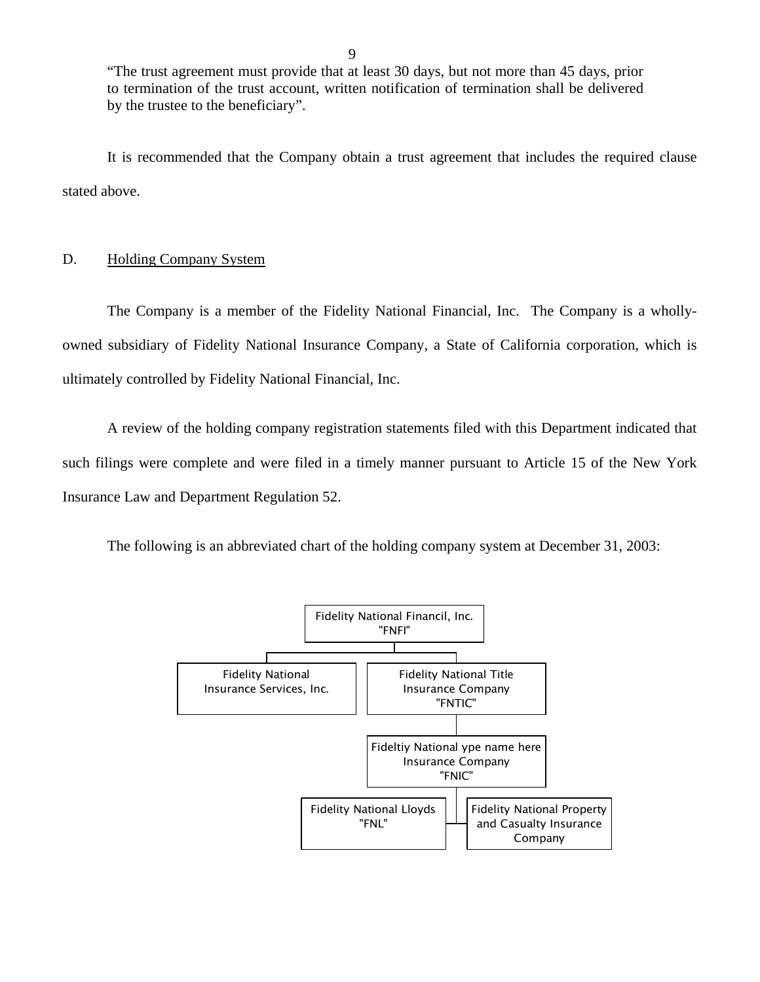"The trust agreement must provide that at least 30 days, but not more than 45 days, prior to termination of the trust account, written notification of termination shall be delivered by the trustee to the beneficiary".

It is recommended that the Company obtain a trust agreement that includes the required clause stated above.

#### D. Holding Company System

The Company is a member of the Fidelity National Financial, Inc. The Company is a whollyowned subsidiary of Fidelity National Insurance Company, a State of California corporation, which is ultimately controlled by Fidelity National Financial, Inc.

A review of the holding company registration statements filed with this Department indicated that such filings were complete and were filed in a timely manner pursuant to Article 15 of the New York Insurance Law and Department Regulation 52.

The following is an abbreviated chart of the holding company system at December 31, 2003:

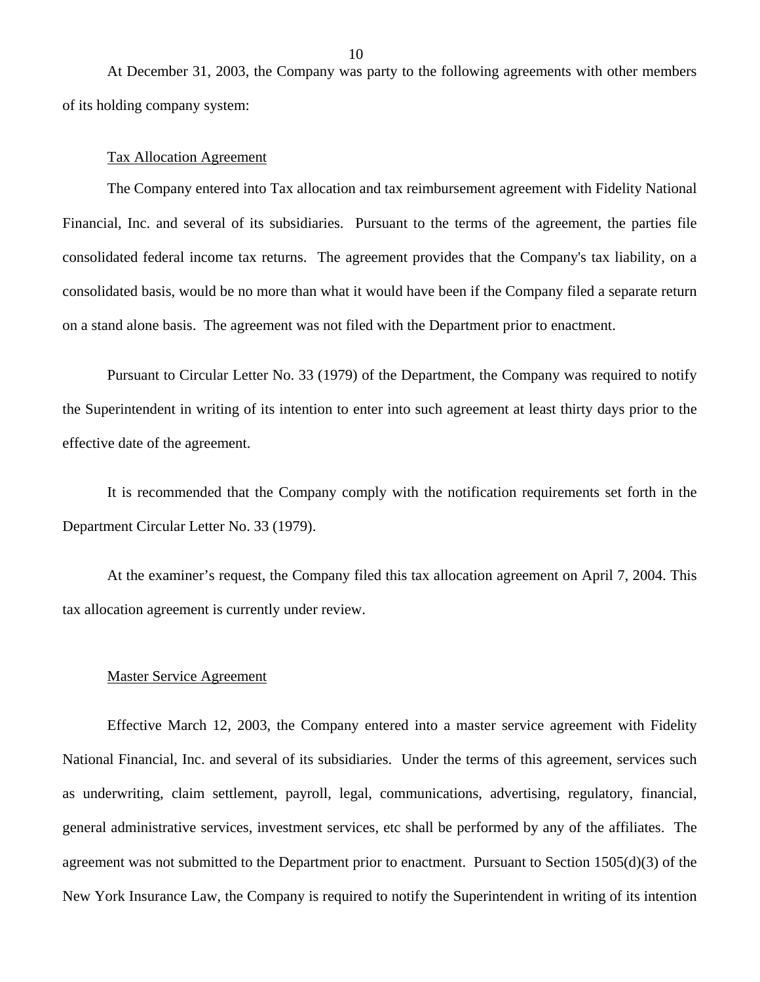At December 31, 2003, the Company was party to the following agreements with other members of its holding company system:

#### Tax Allocation Agreement

The Company entered into Tax allocation and tax reimbursement agreement with Fidelity National Financial, Inc. and several of its subsidiaries. Pursuant to the terms of the agreement, the parties file consolidated federal income tax returns. The agreement provides that the Company's tax liability, on a consolidated basis, would be no more than what it would have been if the Company filed a separate return on a stand alone basis. The agreement was not filed with the Department prior to enactment.

Pursuant to Circular Letter No. 33 (1979) of the Department, the Company was required to notify the Superintendent in writing of its intention to enter into such agreement at least thirty days prior to the effective date of the agreement.

It is recommended that the Company comply with the notification requirements set forth in the Department Circular Letter No. 33 (1979).

At the examiner's request, the Company filed this tax allocation agreement on April 7, 2004. This tax allocation agreement is currently under review.

#### Master Service Agreement

Effective March 12, 2003, the Company entered into a master service agreement with Fidelity National Financial, Inc. and several of its subsidiaries. Under the terms of this agreement, services such as underwriting, claim settlement, payroll, legal, communications, advertising, regulatory, financial, general administrative services, investment services, etc shall be performed by any of the affiliates. The agreement was not submitted to the Department prior to enactment. Pursuant to Section 1505(d)(3) of the New York Insurance Law, the Company is required to notify the Superintendent in writing of its intention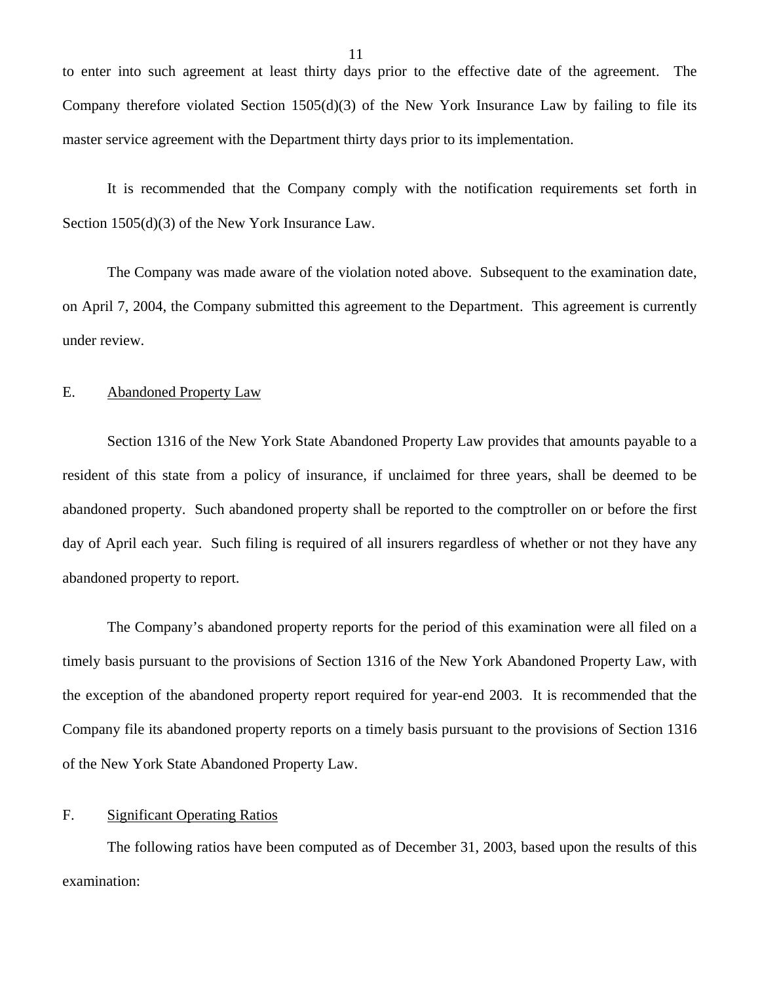<span id="page-12-0"></span>to enter into such agreement at least thirty days prior to the effective date of the agreement. The Company therefore violated Section 1505(d)(3) of the New York Insurance Law by failing to file its master service agreement with the Department thirty days prior to its implementation.

It is recommended that the Company comply with the notification requirements set forth in Section 1505(d)(3) of the New York Insurance Law.

The Company was made aware of the violation noted above. Subsequent to the examination date, on April 7, 2004, the Company submitted this agreement to the Department. This agreement is currently under review.

#### E. Abandoned Property Law

Section 1316 of the New York State Abandoned Property Law provides that amounts payable to a resident of this state from a policy of insurance, if unclaimed for three years, shall be deemed to be abandoned property. Such abandoned property shall be reported to the comptroller on or before the first day of April each year. Such filing is required of all insurers regardless of whether or not they have any abandoned property to report.

The Company's abandoned property reports for the period of this examination were all filed on a timely basis pursuant to the provisions of Section 1316 of the New York Abandoned Property Law, with the exception of the abandoned property report required for year-end 2003. It is recommended that the Company file its abandoned property reports on a timely basis pursuant to the provisions of Section 1316 of the New York State Abandoned Property Law.

#### F. Significant Operating Ratios

The following ratios have been computed as of December 31, 2003, based upon the results of this examination: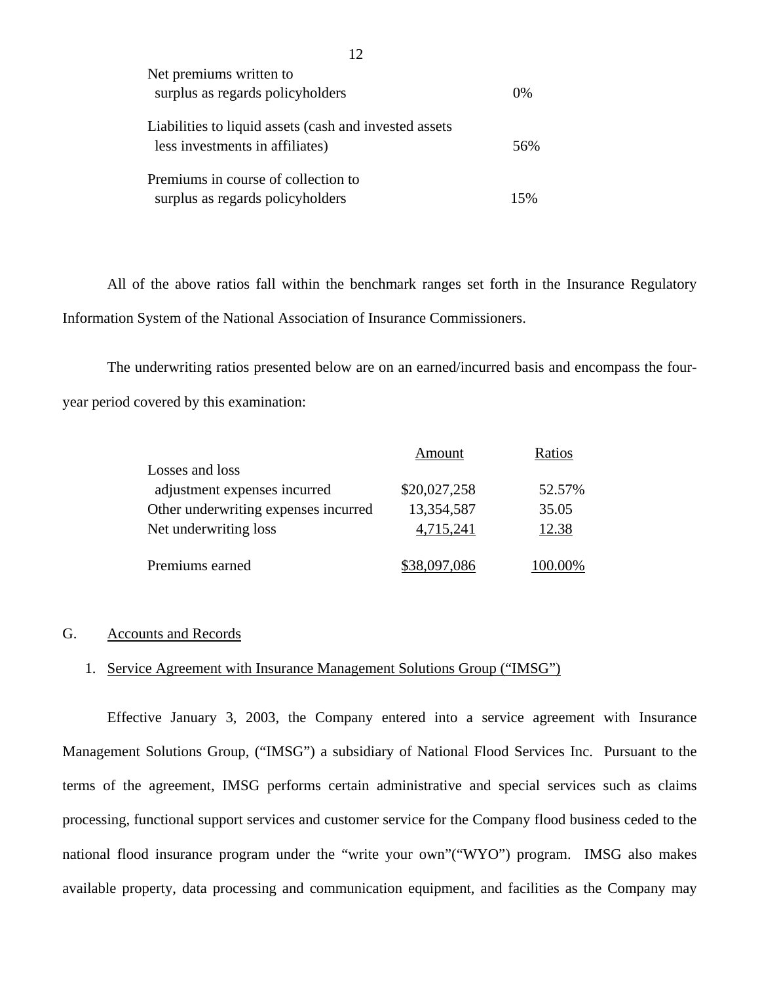| Net premiums written to<br>surplus as regards policyholders                               | $0\%$ |
|-------------------------------------------------------------------------------------------|-------|
| Liabilities to liquid assets (cash and invested assets<br>less investments in affiliates) | 56%   |
| Premiums in course of collection to<br>surplus as regards policyholders                   | 15%   |

All of the above ratios fall within the benchmark ranges set forth in the Insurance Regulatory Information System of the National Association of Insurance Commissioners.

The underwriting ratios presented below are on an earned/incurred basis and encompass the fouryear period covered by this examination:

|                                      | Amount       | Ratios |
|--------------------------------------|--------------|--------|
| Losses and loss                      |              |        |
| adjustment expenses incurred         | \$20,027,258 | 52.57% |
| Other underwriting expenses incurred | 13,354,587   | 35.05  |
| Net underwriting loss                | 4,715,241    | 12.38  |
| Premiums earned                      | \$38,097,086 |        |

#### G. Accounts and Records

## 1. Service Agreement with Insurance Management Solutions Group ("IMSG")

Effective January 3, 2003, the Company entered into a service agreement with Insurance Management Solutions Group, ("IMSG") a subsidiary of National Flood Services Inc. Pursuant to the terms of the agreement, IMSG performs certain administrative and special services such as claims processing, functional support services and customer service for the Company flood business ceded to the national flood insurance program under the "write your own"("WYO") program. IMSG also makes available property, data processing and communication equipment, and facilities as the Company may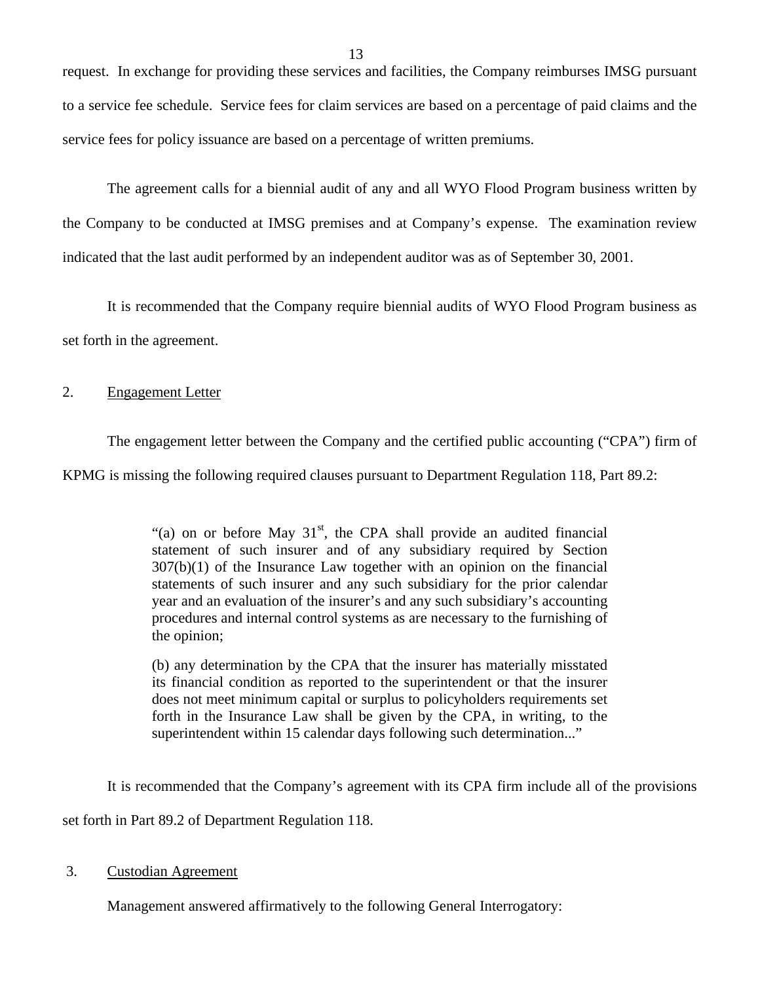request. In exchange for providing these services and facilities, the Company reimburses IMSG pursuant to a service fee schedule. Service fees for claim services are based on a percentage of paid claims and the service fees for policy issuance are based on a percentage of written premiums.

The agreement calls for a biennial audit of any and all WYO Flood Program business written by the Company to be conducted at IMSG premises and at Company's expense. The examination review indicated that the last audit performed by an independent auditor was as of September 30, 2001.

It is recommended that the Company require biennial audits of WYO Flood Program business as set forth in the agreement.

#### 2. Engagement Letter

The engagement letter between the Company and the certified public accounting ("CPA") firm of

KPMG is missing the following required clauses pursuant to Department Regulation 118, Part 89.2:

"(a) on or before May  $31<sup>st</sup>$ , the CPA shall provide an audited financial statement of such insurer and of any subsidiary required by Section 307(b)(1) of the Insurance Law together with an opinion on the financial statements of such insurer and any such subsidiary for the prior calendar year and an evaluation of the insurer's and any such subsidiary's accounting procedures and internal control systems as are necessary to the furnishing of the opinion;

(b) any determination by the CPA that the insurer has materially misstated its financial condition as reported to the superintendent or that the insurer does not meet minimum capital or surplus to policyholders requirements set forth in the Insurance Law shall be given by the CPA, in writing, to the superintendent within 15 calendar days following such determination..."

It is recommended that the Company's agreement with its CPA firm include all of the provisions set forth in Part 89.2 of Department Regulation 118.

#### 3. Custodian Agreement

Management answered affirmatively to the following General Interrogatory: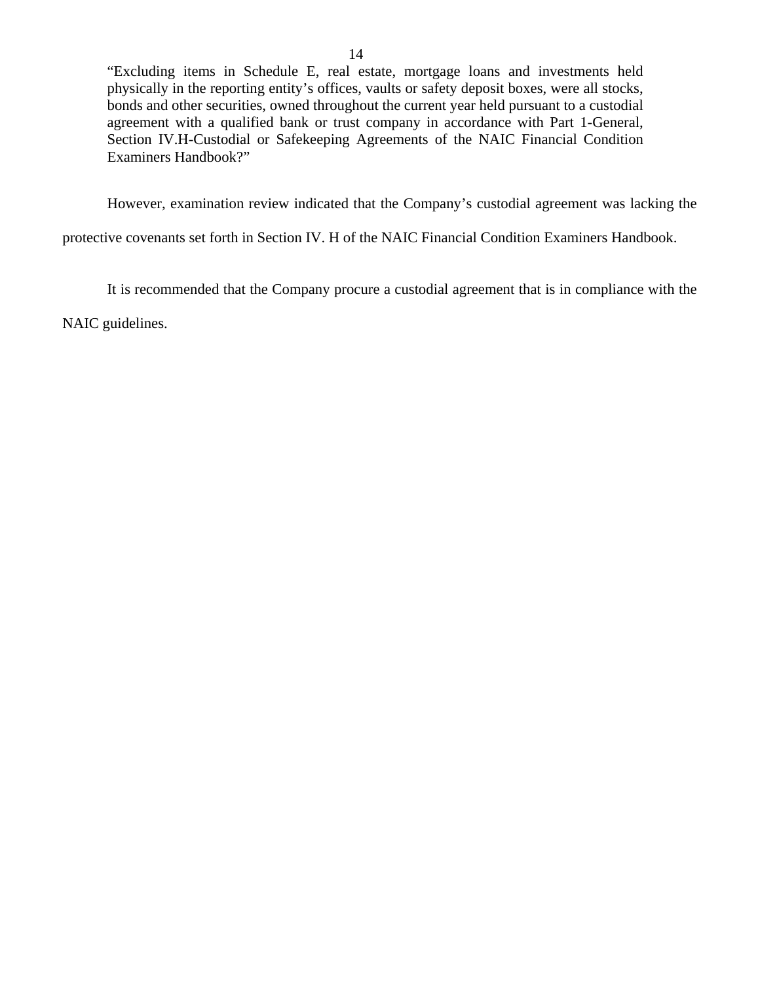"Excluding items in Schedule E, real estate, mortgage loans and investments held physically in the reporting entity's offices, vaults or safety deposit boxes, were all stocks, bonds and other securities, owned throughout the current year held pursuant to a custodial agreement with a qualified bank or trust company in accordance with Part 1-General, Section IV.H-Custodial or Safekeeping Agreements of the NAIC Financial Condition Examiners Handbook?"

However, examination review indicated that the Company's custodial agreement was lacking the

protective covenants set forth in Section IV. H of the NAIC Financial Condition Examiners Handbook.

It is recommended that the Company procure a custodial agreement that is in compliance with the

NAIC guidelines.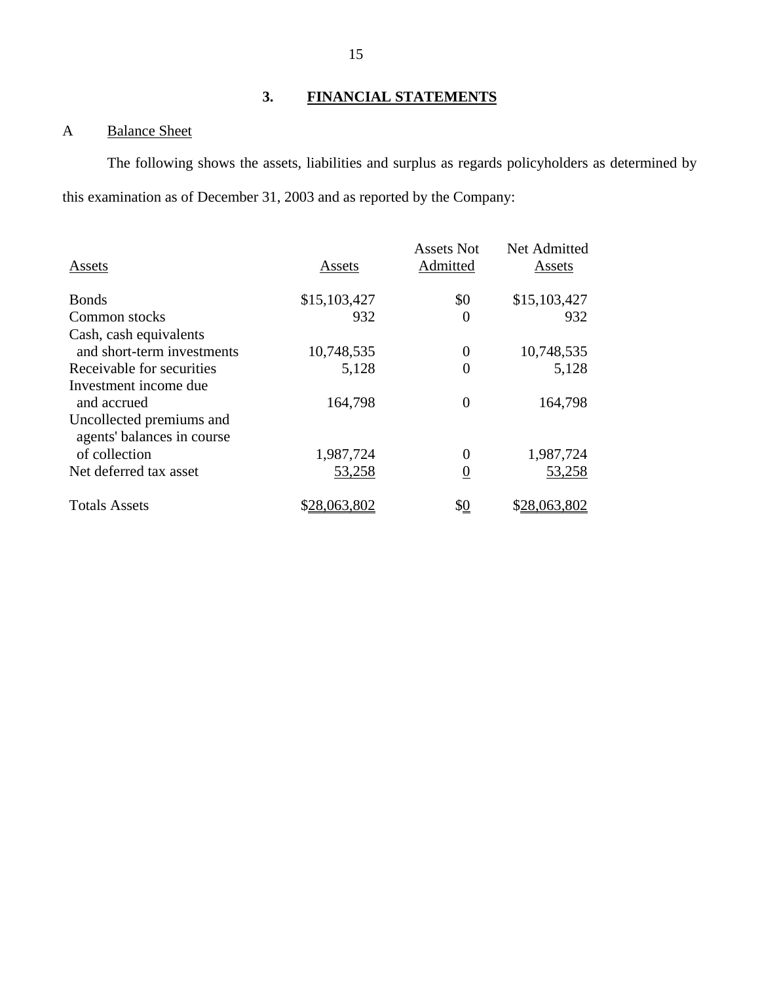# **3. FINANCIAL STATEMENTS**

# <span id="page-16-0"></span>A Balance Sheet

The following shows the assets, liabilities and surplus as regards policyholders as determined by this examination as of December 31, 2003 and as reported by the Company:

| Assets                                                 | Assets       | <b>Assets Not</b><br>Admitted | Net Admitted<br>Assets |
|--------------------------------------------------------|--------------|-------------------------------|------------------------|
| <b>Bonds</b>                                           | \$15,103,427 | \$0                           | \$15,103,427           |
| Common stocks                                          | 932          | $\theta$                      | 932                    |
| Cash, cash equivalents                                 |              |                               |                        |
| and short-term investments                             | 10,748,535   | 0                             | 10,748,535             |
| Receivable for securities                              | 5,128        | $\Omega$                      | 5,128                  |
| Investment income due                                  |              |                               |                        |
| and accrued                                            | 164,798      | 0                             | 164,798                |
| Uncollected premiums and<br>agents' balances in course |              |                               |                        |
| of collection                                          | 1,987,724    | $\Omega$                      | 1,987,724              |
| Net deferred tax asset                                 | 53,258       | $\overline{0}$                | 53,258                 |
| <b>Totals Assets</b>                                   | \$28,063,802 | \$ <u>0</u>                   | \$28,063,802           |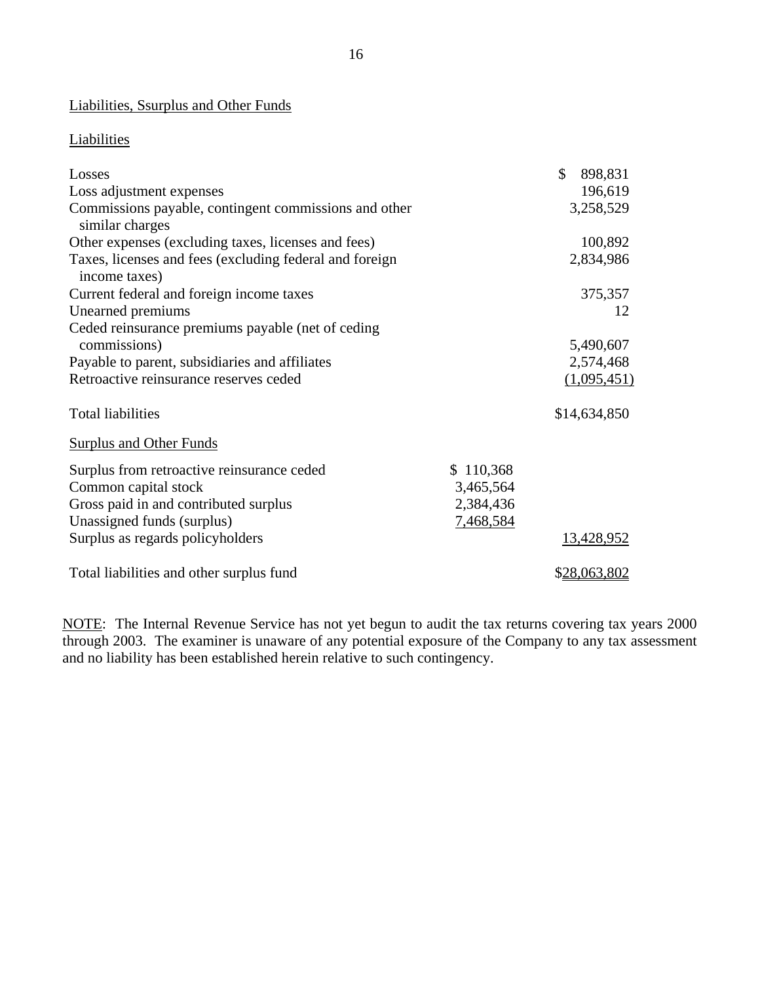# Liabilities, Ssurplus and Other Funds

## **Liabilities**

| Losses                                                                   |           | \$<br>898,831 |
|--------------------------------------------------------------------------|-----------|---------------|
| Loss adjustment expenses                                                 |           | 196,619       |
| Commissions payable, contingent commissions and other<br>similar charges |           | 3,258,529     |
| Other expenses (excluding taxes, licenses and fees)                      |           | 100,892       |
| Taxes, licenses and fees (excluding federal and foreign<br>income taxes) |           | 2,834,986     |
| Current federal and foreign income taxes                                 |           | 375,357       |
| Unearned premiums                                                        |           | 12            |
| Ceded reinsurance premiums payable (net of ceding                        |           |               |
| commissions)                                                             |           | 5,490,607     |
| Payable to parent, subsidiaries and affiliates                           |           | 2,574,468     |
| Retroactive reinsurance reserves ceded                                   |           | (1,095,451)   |
| <b>Total liabilities</b>                                                 |           | \$14,634,850  |
| <b>Surplus and Other Funds</b>                                           |           |               |
| Surplus from retroactive reinsurance ceded                               | \$110,368 |               |
| Common capital stock                                                     | 3,465,564 |               |
| Gross paid in and contributed surplus                                    | 2,384,436 |               |
| Unassigned funds (surplus)                                               | 7,468,584 |               |
| Surplus as regards policyholders                                         |           | 13,428,952    |
| Total liabilities and other surplus fund                                 |           | \$28,063,802  |

NOTE: The Internal Revenue Service has not yet begun to audit the tax returns covering tax years 2000 through 2003. The examiner is unaware of any potential exposure of the Company to any tax assessment and no liability has been established herein relative to such contingency.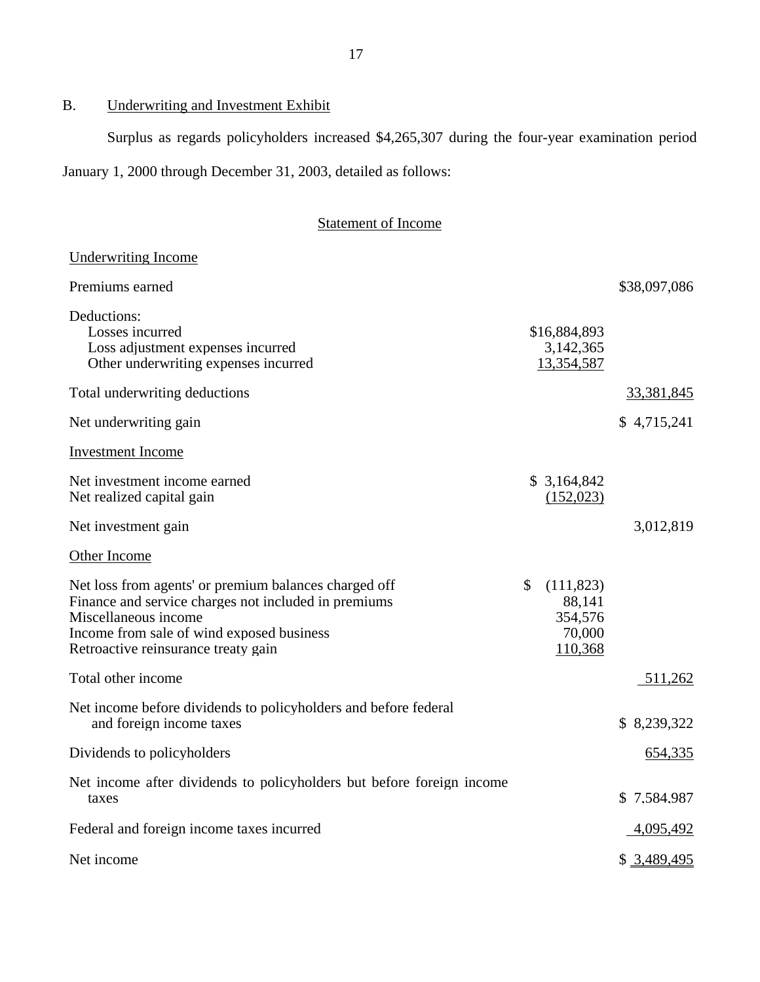# B. Underwriting and Investment Exhibit

Surplus as regards policyholders increased \$4,265,307 during the four-year examination period

January 1, 2000 through December 31, 2003, detailed as follows:

# Statement of Income

| <b>Underwriting Income</b>                                                                                                                                                                                                |                                                            |              |
|---------------------------------------------------------------------------------------------------------------------------------------------------------------------------------------------------------------------------|------------------------------------------------------------|--------------|
| Premiums earned                                                                                                                                                                                                           |                                                            | \$38,097,086 |
| Deductions:<br>Losses incurred<br>Loss adjustment expenses incurred<br>Other underwriting expenses incurred                                                                                                               | \$16,884,893<br>3,142,365<br>13,354,587                    |              |
| Total underwriting deductions                                                                                                                                                                                             |                                                            | 33,381,845   |
| Net underwriting gain                                                                                                                                                                                                     |                                                            | \$4,715,241  |
| <b>Investment Income</b>                                                                                                                                                                                                  |                                                            |              |
| Net investment income earned<br>Net realized capital gain                                                                                                                                                                 | \$3,164,842<br>(152,023)                                   |              |
| Net investment gain                                                                                                                                                                                                       |                                                            | 3,012,819    |
| Other Income                                                                                                                                                                                                              |                                                            |              |
| Net loss from agents' or premium balances charged off<br>Finance and service charges not included in premiums<br>Miscellaneous income<br>Income from sale of wind exposed business<br>Retroactive reinsurance treaty gain | \$<br>(111, 823)<br>88,141<br>354,576<br>70,000<br>110,368 |              |
| Total other income                                                                                                                                                                                                        |                                                            | 511,262      |
| Net income before dividends to policyholders and before federal<br>and foreign income taxes                                                                                                                               |                                                            | \$8,239,322  |
| Dividends to policyholders                                                                                                                                                                                                |                                                            | 654,335      |
| Net income after dividends to policyholders but before foreign income<br>taxes                                                                                                                                            |                                                            | \$7,584,987  |
| Federal and foreign income taxes incurred                                                                                                                                                                                 |                                                            | 4,095,492    |
| Net income                                                                                                                                                                                                                |                                                            | \$3,489,495  |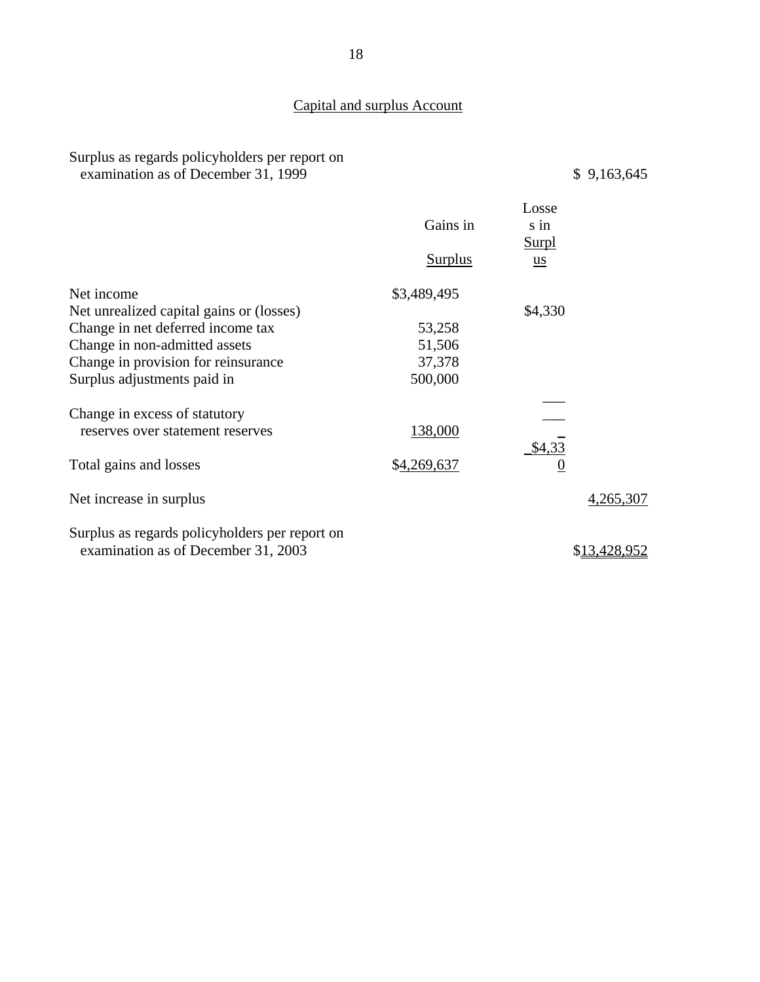# Capital and surplus Account

Surplus as regards policyholders per report on examination as of December 31, 1999  $\qquad$   $\qquad$   $\qquad$   $\qquad$  9,163,645

|                                                | Gains in       | Losse<br>s in<br><b>Surpl</b> |              |
|------------------------------------------------|----------------|-------------------------------|--------------|
|                                                | <b>Surplus</b> | $\underline{u}\underline{s}$  |              |
| Net income                                     | \$3,489,495    |                               |              |
| Net unrealized capital gains or (losses)       |                | \$4,330                       |              |
| Change in net deferred income tax              | 53,258         |                               |              |
| Change in non-admitted assets                  | 51,506         |                               |              |
| Change in provision for reinsurance            | 37,378         |                               |              |
| Surplus adjustments paid in                    | 500,000        |                               |              |
| Change in excess of statutory                  |                |                               |              |
| reserves over statement reserves               | 138,000        |                               |              |
| Total gains and losses                         | \$4,269,637    | \$4,33<br>$\boldsymbol{0}$    |              |
| Net increase in surplus                        |                |                               | 4,265,307    |
| Surplus as regards policyholders per report on |                |                               |              |
| examination as of December 31, 2003            |                |                               | \$13,428,952 |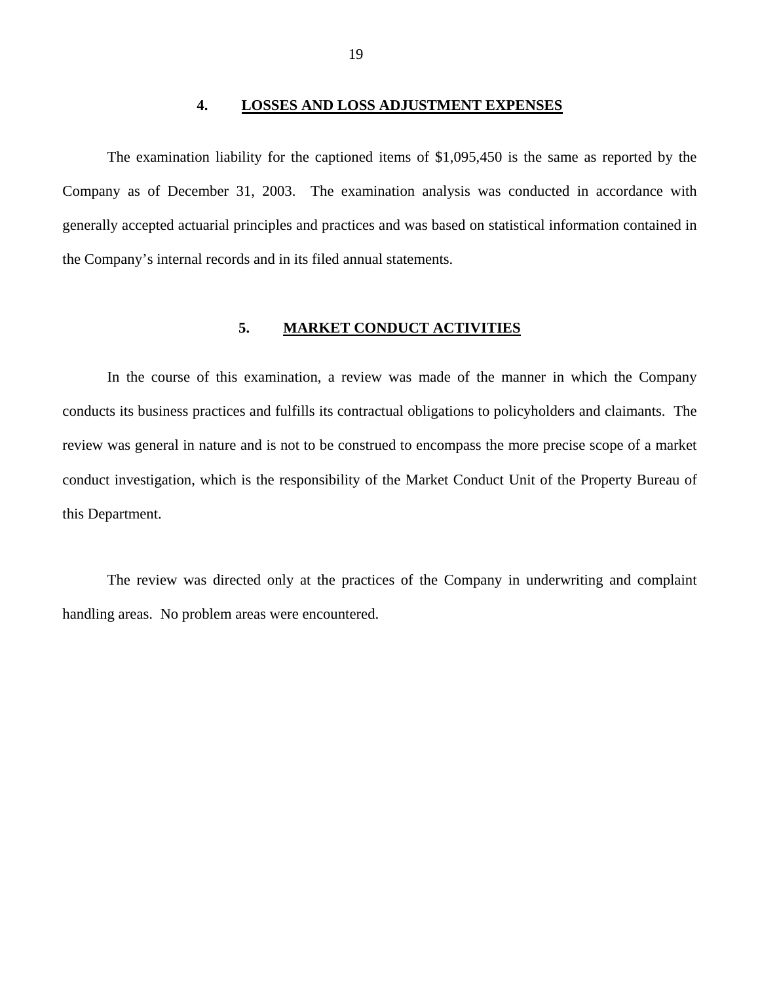#### **4. LOSSES AND LOSS ADJUSTMENT EXPENSES**

<span id="page-20-0"></span>The examination liability for the captioned items of \$1,095,450 is the same as reported by the Company as of December 31, 2003. The examination analysis was conducted in accordance with generally accepted actuarial principles and practices and was based on statistical information contained in the Company's internal records and in its filed annual statements.

#### **5. MARKET CONDUCT ACTIVITIES**

In the course of this examination, a review was made of the manner in which the Company conducts its business practices and fulfills its contractual obligations to policyholders and claimants. The review was general in nature and is not to be construed to encompass the more precise scope of a market conduct investigation, which is the responsibility of the Market Conduct Unit of the Property Bureau of this Department.

The review was directed only at the practices of the Company in underwriting and complaint handling areas. No problem areas were encountered.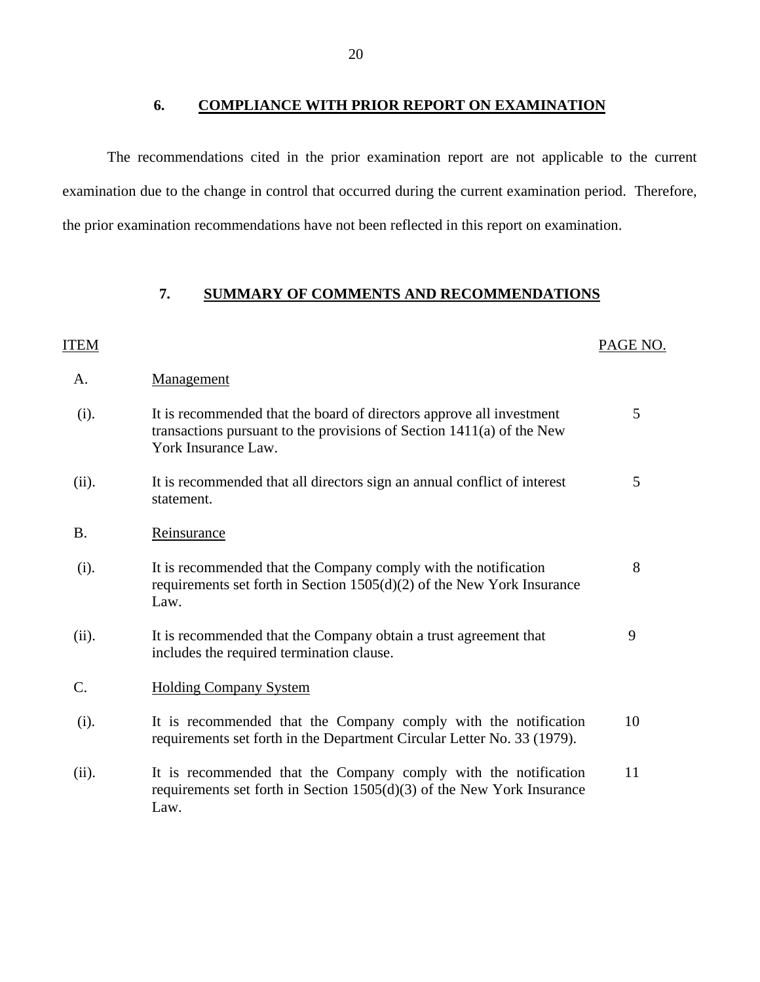**6. COMPLIANCE WITH PRIOR REPORT ON EXAMINATION** 

The recommendations cited in the prior examination report are not applicable to the current examination due to the change in control that occurred during the current examination period. Therefore, the prior examination recommendations have not been reflected in this report on examination.

## **7. SUMMARY OF COMMENTS AND RECOMMENDATIONS**

| ITEM      |                                                                                                                                                                        | PAGE NO. |
|-----------|------------------------------------------------------------------------------------------------------------------------------------------------------------------------|----------|
| A.        | Management                                                                                                                                                             |          |
| (i).      | It is recommended that the board of directors approve all investment<br>transactions pursuant to the provisions of Section $1411(a)$ of the New<br>York Insurance Law. | 5        |
| (ii).     | It is recommended that all directors sign an annual conflict of interest<br>statement.                                                                                 | 5        |
| <b>B.</b> | Reinsurance                                                                                                                                                            |          |
| (i).      | It is recommended that the Company comply with the notification<br>requirements set forth in Section $1505(d)(2)$ of the New York Insurance<br>Law.                    | 8        |
| (ii).     | It is recommended that the Company obtain a trust agreement that<br>includes the required termination clause.                                                          | 9        |
| C.        | <b>Holding Company System</b>                                                                                                                                          |          |
| (i).      | It is recommended that the Company comply with the notification<br>requirements set forth in the Department Circular Letter No. 33 (1979).                             | 10       |
| (ii).     | It is recommended that the Company comply with the notification<br>requirements set forth in Section $1505(d)(3)$ of the New York Insurance<br>Law.                    | 11       |
|           |                                                                                                                                                                        |          |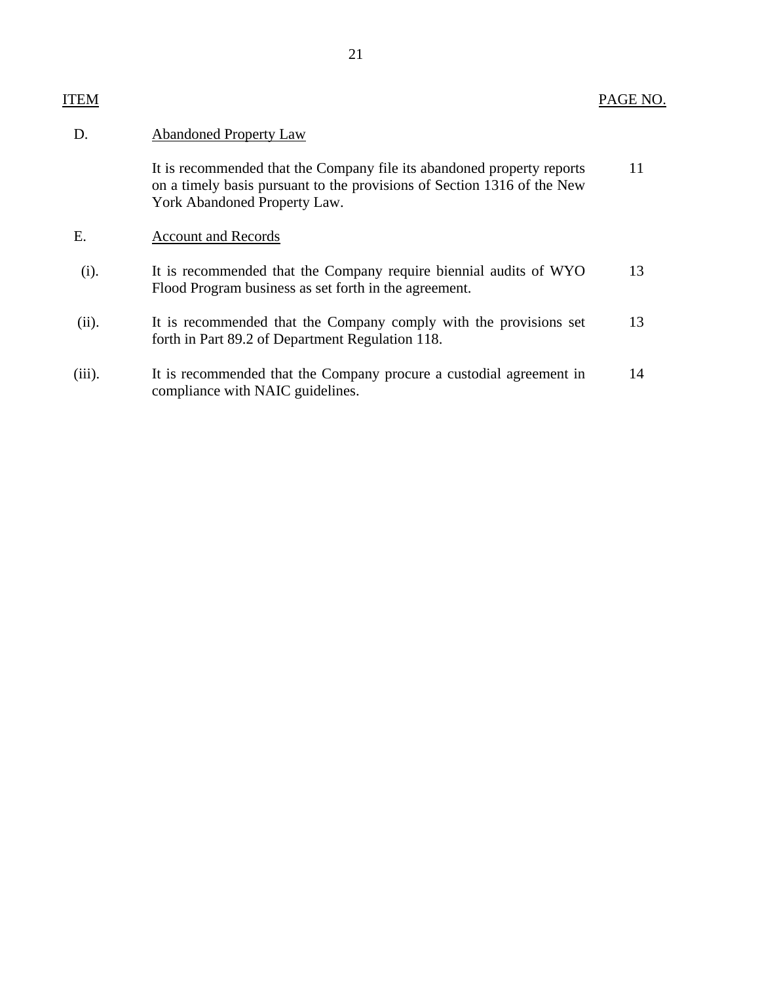| <b>ITEM</b> | PAGE NO. |
|-------------|----------|
|-------------|----------|

| D.        | <b>Abandoned Property Law</b>                                                                                                                                                     |    |
|-----------|-----------------------------------------------------------------------------------------------------------------------------------------------------------------------------------|----|
|           | It is recommended that the Company file its abandoned property reports<br>on a timely basis pursuant to the provisions of Section 1316 of the New<br>York Abandoned Property Law. | 11 |
| E.        | <b>Account and Records</b>                                                                                                                                                        |    |
| (i).      | It is recommended that the Company require biennial audits of WYO<br>Flood Program business as set forth in the agreement.                                                        | 13 |
| (ii).     | It is recommended that the Company comply with the provisions set<br>forth in Part 89.2 of Department Regulation 118.                                                             | 13 |
| $(iii)$ . | It is recommended that the Company procure a custodial agreement in<br>compliance with NAIC guidelines.                                                                           | 14 |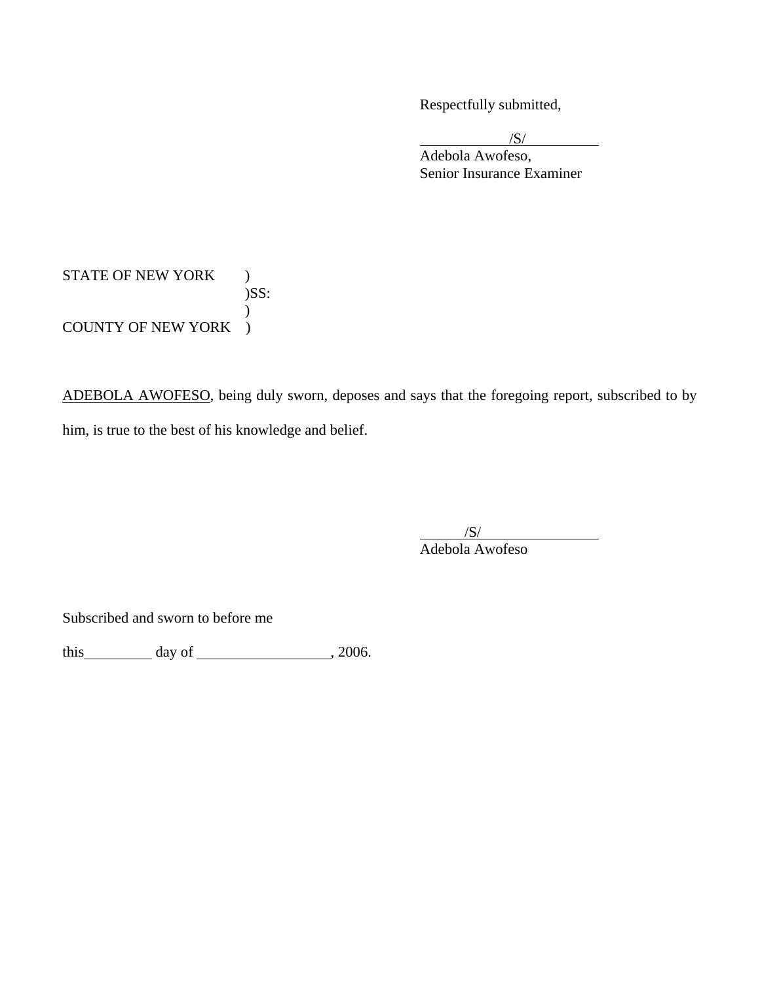Respectfully submitted,

 $\sqrt{S}$ /

 Adebola Awofeso, Senior Insurance Examiner

STATE OF NEW YORK ) )SS:  $\mathcal{L}$ COUNTY OF NEW YORK )

ADEBOLA AWOFESO, being duly sworn, deposes and says that the foregoing report, subscribed to by him, is true to the best of his knowledge and belief.

 $/S/$ Adebola Awofeso

Subscribed and sworn to before me

this  $\qquad \qquad \text{day of} \qquad \qquad .2006.$